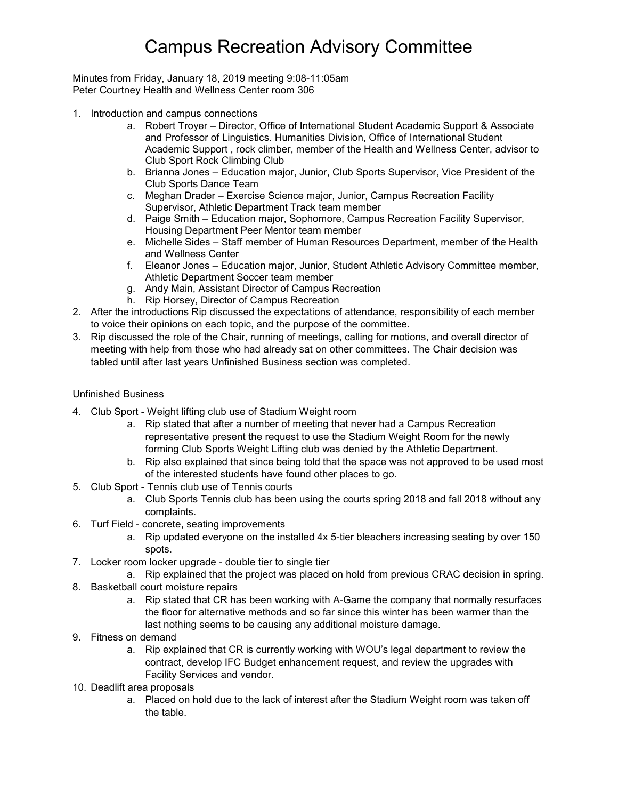# Campus Recreation Advisory Committee

Minutes from Friday, January 18, 2019 meeting 9:08-11:05am Peter Courtney Health and Wellness Center room 306

- 1. Introduction and campus connections
	- a. Robert Troyer Director, Office of International Student Academic Support & Associate and Professor of Linguistics. Humanities Division, Office of International Student Academic Support , rock climber, member of the Health and Wellness Center, advisor to Club Sport Rock Climbing Club
	- b. Brianna Jones Education major, Junior, Club Sports Supervisor, Vice President of the Club Sports Dance Team
	- c. Meghan Drader Exercise Science major, Junior, Campus Recreation Facility Supervisor, Athletic Department Track team member
	- d. Paige Smith Education major, Sophomore, Campus Recreation Facility Supervisor, Housing Department Peer Mentor team member
	- e. Michelle Sides Staff member of Human Resources Department, member of the Health and Wellness Center
	- f. Eleanor Jones Education major, Junior, Student Athletic Advisory Committee member, Athletic Department Soccer team member
	- g. Andy Main, Assistant Director of Campus Recreation
	- h. Rip Horsey, Director of Campus Recreation
- 2. After the introductions Rip discussed the expectations of attendance, responsibility of each member to voice their opinions on each topic, and the purpose of the committee.
- 3. Rip discussed the role of the Chair, running of meetings, calling for motions, and overall director of meeting with help from those who had already sat on other committees. The Chair decision was tabled until after last years Unfinished Business section was completed.

### Unfinished Business

- 4. Club Sport Weight lifting club use of Stadium Weight room
	- a. Rip stated that after a number of meeting that never had a Campus Recreation representative present the request to use the Stadium Weight Room for the newly forming Club Sports Weight Lifting club was denied by the Athletic Department.
	- b. Rip also explained that since being told that the space was not approved to be used most of the interested students have found other places to go.
- 5. Club Sport Tennis club use of Tennis courts
	- a. Club Sports Tennis club has been using the courts spring 2018 and fall 2018 without any complaints.
- 6. Turf Field concrete, seating improvements
	- a. Rip updated everyone on the installed 4x 5-tier bleachers increasing seating by over 150 spots.
- 7. Locker room locker upgrade double tier to single tier
	- a. Rip explained that the project was placed on hold from previous CRAC decision in spring.
- 8. Basketball court moisture repairs
	- a. Rip stated that CR has been working with A-Game the company that normally resurfaces the floor for alternative methods and so far since this winter has been warmer than the last nothing seems to be causing any additional moisture damage.
- 9. Fitness on demand
	- a. Rip explained that CR is currently working with WOU's legal department to review the contract, develop IFC Budget enhancement request, and review the upgrades with Facility Services and vendor.
- 10. Deadlift area proposals
	- a. Placed on hold due to the lack of interest after the Stadium Weight room was taken off the table.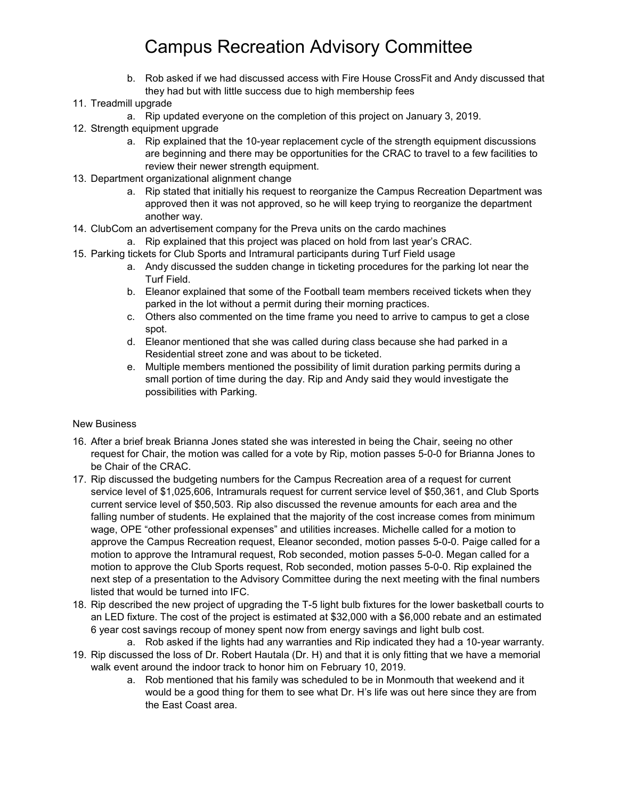# Campus Recreation Advisory Committee

- b. Rob asked if we had discussed access with Fire House CrossFit and Andy discussed that they had but with little success due to high membership fees
- 11. Treadmill upgrade
	- a. Rip updated everyone on the completion of this project on January 3, 2019.
- 12. Strength equipment upgrade
	- a. Rip explained that the 10-year replacement cycle of the strength equipment discussions are beginning and there may be opportunities for the CRAC to travel to a few facilities to review their newer strength equipment.
- 13. Department organizational alignment change
	- a. Rip stated that initially his request to reorganize the Campus Recreation Department was approved then it was not approved, so he will keep trying to reorganize the department another way.
- 14. ClubCom an advertisement company for the Preva units on the cardo machines
	- a. Rip explained that this project was placed on hold from last year's CRAC.
- 15. Parking tickets for Club Sports and Intramural participants during Turf Field usage
	- a. Andy discussed the sudden change in ticketing procedures for the parking lot near the Turf Field.
	- b. Eleanor explained that some of the Football team members received tickets when they parked in the lot without a permit during their morning practices.
	- c. Others also commented on the time frame you need to arrive to campus to get a close spot.
	- d. Eleanor mentioned that she was called during class because she had parked in a Residential street zone and was about to be ticketed.
	- e. Multiple members mentioned the possibility of limit duration parking permits during a small portion of time during the day. Rip and Andy said they would investigate the possibilities with Parking.

### New Business

- 16. After a brief break Brianna Jones stated she was interested in being the Chair, seeing no other request for Chair, the motion was called for a vote by Rip, motion passes 5-0-0 for Brianna Jones to be Chair of the CRAC.
- 17. Rip discussed the budgeting numbers for the Campus Recreation area of a request for current service level of \$1,025,606, Intramurals request for current service level of \$50,361, and Club Sports current service level of \$50,503. Rip also discussed the revenue amounts for each area and the falling number of students. He explained that the majority of the cost increase comes from minimum wage, OPE "other professional expenses" and utilities increases. Michelle called for a motion to approve the Campus Recreation request, Eleanor seconded, motion passes 5-0-0. Paige called for a motion to approve the Intramural request, Rob seconded, motion passes 5-0-0. Megan called for a motion to approve the Club Sports request, Rob seconded, motion passes 5-0-0. Rip explained the next step of a presentation to the Advisory Committee during the next meeting with the final numbers listed that would be turned into IFC.
- 18. Rip described the new project of upgrading the T-5 light bulb fixtures for the lower basketball courts to an LED fixture. The cost of the project is estimated at \$32,000 with a \$6,000 rebate and an estimated 6 year cost savings recoup of money spent now from energy savings and light bulb cost.
- a. Rob asked if the lights had any warranties and Rip indicated they had a 10-year warranty. 19. Rip discussed the loss of Dr. Robert Hautala (Dr. H) and that it is only fitting that we have a memorial
- walk event around the indoor track to honor him on February 10, 2019.
	- a. Rob mentioned that his family was scheduled to be in Monmouth that weekend and it would be a good thing for them to see what Dr. H's life was out here since they are from the East Coast area.